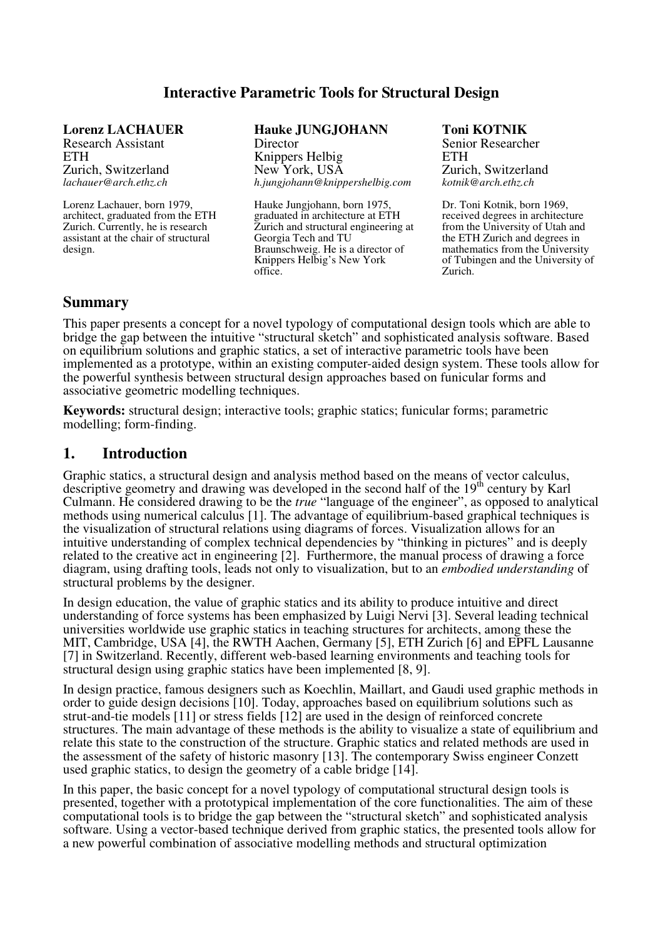### **Interactive Parametric Tools for Structural Design**

**Lorenz LACHAUER**  Research Assistant **ETH** Zurich, Switzerland *lachauer@arch.ethz.ch* 

Lorenz Lachauer, born 1979, architect, graduated from the ETH Zurich. Currently, he is research assistant at the chair of structural design.

**Hauke JUNGJOHANN Director** 

Knippers Helbig New York, USA *h.jungjohann@knippershelbig.com* 

Hauke Jungjohann, born 1975, graduated in architecture at ETH Zurich and structural engineering at Georgia Tech and TU Braunschweig. He is a director of Knippers Helbig's New York office.

**Toni KOTNIK**  Senior Researcher **ETH** Zurich, Switzerland *kotnik@arch.ethz.ch* 

Dr. Toni Kotnik, born 1969, received degrees in architecture from the University of Utah and the ETH Zurich and degrees in mathematics from the University of Tubingen and the University of Zurich.

### **Summary**

This paper presents a concept for a novel typology of computational design tools which are able to bridge the gap between the intuitive "structural sketch" and sophisticated analysis software. Based on equilibrium solutions and graphic statics, a set of interactive parametric tools have been implemented as a prototype, within an existing computer-aided design system. These tools allow for the powerful synthesis between structural design approaches based on funicular forms and associative geometric modelling techniques.

**Keywords:** structural design; interactive tools; graphic statics; funicular forms; parametric modelling; form-finding.

#### **1. Introduction**

Graphic statics, a structural design and analysis method based on the means of vector calculus, descriptive geometry and drawing was developed in the second half of the 19<sup>th</sup> century by Karl Culmann. He considered drawing to be the *true* "language of the engineer", as opposed to analytical methods using numerical calculus [1]. The advantage of equilibrium-based graphical techniques is the visualization of structural relations using diagrams of forces. Visualization allows for an intuitive understanding of complex technical dependencies by "thinking in pictures" and is deeply related to the creative act in engineering [2]. Furthermore, the manual process of drawing a force diagram, using drafting tools, leads not only to visualization, but to an *embodied understanding* of structural problems by the designer.

In design education, the value of graphic statics and its ability to produce intuitive and direct understanding of force systems has been emphasized by Luigi Nervi [3]. Several leading technical universities worldwide use graphic statics in teaching structures for architects, among these the MIT, Cambridge, USA [4], the RWTH Aachen, Germany [5], ETH Zurich [6] and EPFL Lausanne [7] in Switzerland. Recently, different web-based learning environments and teaching tools for structural design using graphic statics have been implemented [8, 9].

In design practice, famous designers such as Koechlin, Maillart, and Gaudi used graphic methods in order to guide design decisions [10]. Today, approaches based on equilibrium solutions such as strut-and-tie models [11] or stress fields [12] are used in the design of reinforced concrete structures. The main advantage of these methods is the ability to visualize a state of equilibrium and relate this state to the construction of the structure. Graphic statics and related methods are used in the assessment of the safety of historic masonry [13]. The contemporary Swiss engineer Conzett used graphic statics, to design the geometry of a cable bridge [14].

In this paper, the basic concept for a novel typology of computational structural design tools is presented, together with a prototypical implementation of the core functionalities. The aim of these computational tools is to bridge the gap between the "structural sketch" and sophisticated analysis software. Using a vector-based technique derived from graphic statics, the presented tools allow for a new powerful combination of associative modelling methods and structural optimization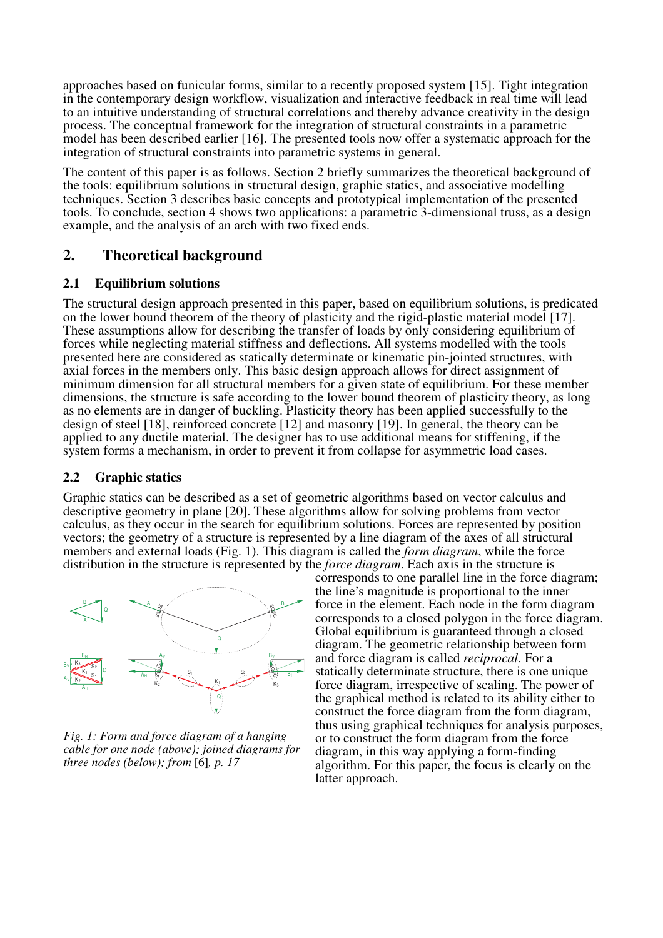approaches based on funicular forms, similar to a recently proposed system [15]. Tight integration in the contemporary design workflow, visualization and interactive feedback in real time will lead to an intuitive understanding of structural correlations and thereby advance creativity in the design process. The conceptual framework for the integration of structural constraints in a parametric model has been described earlier [16]. The presented tools now offer a systematic approach for the integration of structural constraints into parametric systems in general.

The content of this paper is as follows. Section 2 briefly summarizes the theoretical background of the tools: equilibrium solutions in structural design, graphic statics, and associative modelling techniques. Section 3 describes basic concepts and prototypical implementation of the presented tools. To conclude, section 4 shows two applications: a parametric 3-dimensional truss, as a design example, and the analysis of an arch with two fixed ends.

# **2. Theoretical background**

#### **2.1 Equilibrium solutions**

The structural design approach presented in this paper, based on equilibrium solutions, is predicated on the lower bound theorem of the theory of plasticity and the rigid-plastic material model [17]. These assumptions allow for describing the transfer of loads by only considering equilibrium of forces while neglecting material stiffness and deflections. All systems modelled with the tools presented here are considered as statically determinate or kinematic pin-jointed structures, with axial forces in the members only. This basic design approach allows for direct assignment of minimum dimension for all structural members for a given state of equilibrium. For these member dimensions, the structure is safe according to the lower bound theorem of plasticity theory, as long as no elements are in danger of buckling. Plasticity theory has been applied successfully to the design of steel [18], reinforced concrete [12] and masonry [19]. In general, the theory can be applied to any ductile material. The designer has to use additional means for stiffening, if the system forms a mechanism, in order to prevent it from collapse for asymmetric load cases.

### **2.2 Graphic statics**

Graphic statics can be described as a set of geometric algorithms based on vector calculus and descriptive geometry in plane [20]. These algorithms allow for solving problems from vector calculus, as they occur in the search for equilibrium solutions. Forces are represented by position vectors; the geometry of a structure is represented by a line diagram of the axes of all structural members and external loads (Fig. 1). This diagram is called the *form diagram*, while the force distribution in the structure is represented by the *force diagram*. Each axis in the structure is



*Fig. 1: Form and force diagram of a hanging cable for one node (above); joined diagrams for three nodes (below); from* [6]*, p. 17* 

corresponds to one parallel line in the force diagram; the line's magnitude is proportional to the inner force in the element. Each node in the form diagram corresponds to a closed polygon in the force diagram. Global equilibrium is guaranteed through a closed diagram. The geometric relationship between form and force diagram is called *reciprocal*. For a statically determinate structure, there is one unique force diagram, irrespective of scaling. The power of the graphical method is related to its ability either to construct the force diagram from the form diagram, thus using graphical techniques for analysis purposes, or to construct the form diagram from the force diagram, in this way applying a form-finding algorithm. For this paper, the focus is clearly on the latter approach.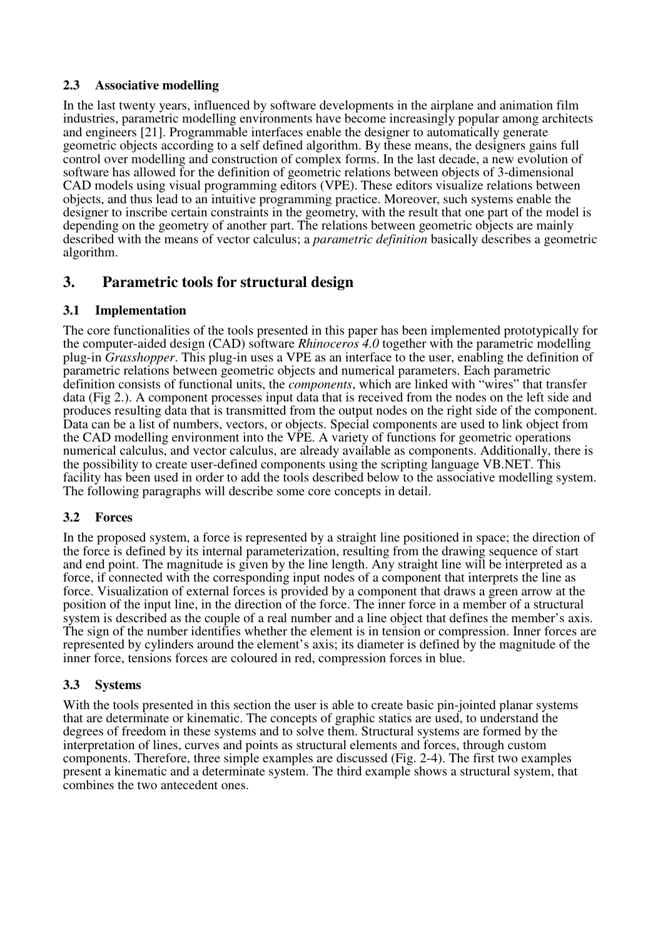### **2.3 Associative modelling**

In the last twenty years, influenced by software developments in the airplane and animation film industries, parametric modelling environments have become increasingly popular among architects and engineers [21]. Programmable interfaces enable the designer to automatically generate geometric objects according to a self defined algorithm. By these means, the designers gains full control over modelling and construction of complex forms. In the last decade, a new evolution of software has allowed for the definition of geometric relations between objects of 3-dimensional CAD models using visual programming editors (VPE). These editors visualize relations between objects, and thus lead to an intuitive programming practice. Moreover, such systems enable the designer to inscribe certain constraints in the geometry, with the result that one part of the model is depending on the geometry of another part. The relations between geometric objects are mainly described with the means of vector calculus; a *parametric definition* basically describes a geometric algorithm.

### **3. Parametric tools for structural design**

### **3.1 Implementation**

The core functionalities of the tools presented in this paper has been implemented prototypically for the computer-aided design (CAD) software *Rhinoceros 4.0* together with the parametric modelling plug-in *Grasshopper*. This plug-in uses a VPE as an interface to the user, enabling the definition of parametric relations between geometric objects and numerical parameters. Each parametric definition consists of functional units, the *components*, which are linked with "wires" that transfer data (Fig 2.). A component processes input data that is received from the nodes on the left side and produces resulting data that is transmitted from the output nodes on the right side of the component. Data can be a list of numbers, vectors, or objects. Special components are used to link object from the CAD modelling environment into the VPE. A variety of functions for geometric operations numerical calculus, and vector calculus, are already available as components. Additionally, there is the possibility to create user-defined components using the scripting language VB.NET. This facility has been used in order to add the tools described below to the associative modelling system. The following paragraphs will describe some core concepts in detail.

### **3.2 Forces**

In the proposed system, a force is represented by a straight line positioned in space; the direction of the force is defined by its internal parameterization, resulting from the drawing sequence of start and end point. The magnitude is given by the line length. Any straight line will be interpreted as a force, if connected with the corresponding input nodes of a component that interprets the line as force. Visualization of external forces is provided by a component that draws a green arrow at the position of the input line, in the direction of the force. The inner force in a member of a structural system is described as the couple of a real number and a line object that defines the member's axis. The sign of the number identifies whether the element is in tension or compression. Inner forces are represented by cylinders around the element's axis; its diameter is defined by the magnitude of the inner force, tensions forces are coloured in red, compression forces in blue.

### **3.3 Systems**

With the tools presented in this section the user is able to create basic pin-jointed planar systems that are determinate or kinematic. The concepts of graphic statics are used, to understand the degrees of freedom in these systems and to solve them. Structural systems are formed by the interpretation of lines, curves and points as structural elements and forces, through custom components. Therefore, three simple examples are discussed (Fig. 2-4). The first two examples present a kinematic and a determinate system. The third example shows a structural system, that combines the two antecedent ones.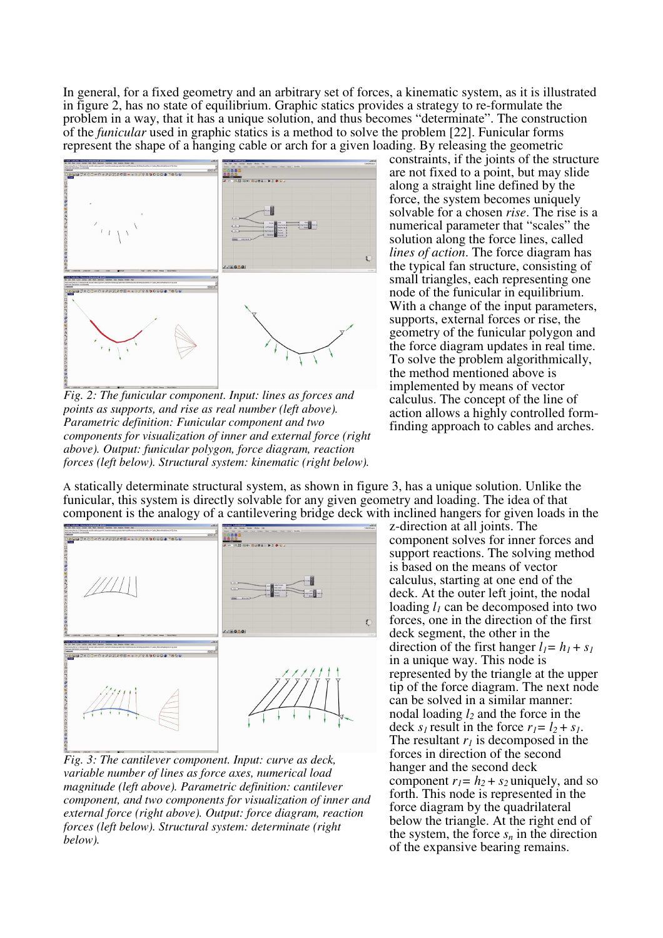In general, for a fixed geometry and an arbitrary set of forces, a kinematic system, as it is illustrated in figure 2, has no state of equilibrium. Graphic statics provides a strategy to re-formulate the problem in a way, that it has a unique solution, and thus becomes "determinate". The construction of the *funicular* used in graphic statics is a method to solve the problem [22]. Funicular forms represent the shape of a hanging cable or arch for a given loading. By releasing the geometric



*Fig. 2: The funicular component. Input: lines as forces and points as supports, and rise as real number (left above). Parametric definition: Funicular component and two components for visualization of inner and external force (right above). Output: funicular polygon, force diagram, reaction forces (left below). Structural system: kinematic (right below).* 

constraints, if the joints of the structure are not fixed to a point, but may slide along a straight line defined by the force, the system becomes uniquely solvable for a chosen *rise*. The rise is a numerical parameter that "scales" the solution along the force lines, called *lines of action*. The force diagram has the typical fan structure, consisting of small triangles, each representing one node of the funicular in equilibrium. With a change of the input parameters, supports, external forces or rise, the geometry of the funicular polygon and the force diagram updates in real time. To solve the problem algorithmically, the method mentioned above is implemented by means of vector calculus. The concept of the line of action allows a highly controlled formfinding approach to cables and arches.

A statically determinate structural system, as shown in figure 3, has a unique solution. Unlike the funicular, this system is directly solvable for any given geometry and loading. The idea of that component is the analogy of a cantilevering bridge deck with inclined hangers for given loads in the



*Fig. 3: The cantilever component. Input: curve as deck, variable number of lines as force axes, numerical load magnitude (left above). Parametric definition: cantilever component, and two components for visualization of inner and external force (right above). Output: force diagram, reaction forces (left below). Structural system: determinate (right below).* 

z-direction at all joints. The component solves for inner forces and support reactions. The solving method is based on the means of vector calculus, starting at one end of the deck. At the outer left joint, the nodal loading *l1* can be decomposed into two forces, one in the direction of the first deck segment, the other in the direction of the first hanger  $l_1 = h_1 + s_1$ in a unique way. This node is represented by the triangle at the upper tip of the force diagram. The next node can be solved in a similar manner: nodal loading *l2* and the force in the deck  $s<sub>l</sub>$  result in the force  $r<sub>l</sub> = l<sub>2</sub> + s<sub>l</sub>$ . The resultant *r<sup>1</sup>* is decomposed in the forces in direction of the second hanger and the second deck component  $r_1 = h_2 + s_2$  uniquely, and so forth. This node is represented in the force diagram by the quadrilateral below the triangle. At the right end of the system, the force  $s_n$  in the direction of the expansive bearing remains.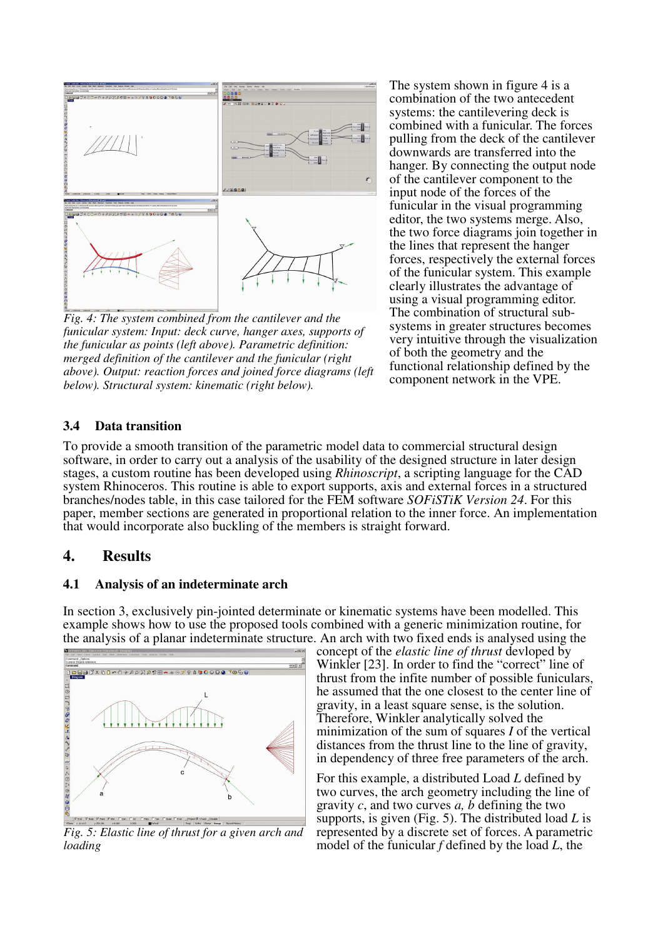

*Fig. 4: The system combined from the cantilever and the funicular system: Input: deck curve, hanger axes, supports of the funicular as points (left above). Parametric definition: merged definition of the cantilever and the funicular (right above). Output: reaction forces and joined force diagrams (left below). Structural system: kinematic (right below).*

The system shown in figure 4 is a combination of the two antecedent systems: the cantilevering deck is combined with a funicular. The forces pulling from the deck of the cantilever downwards are transferred into the hanger. By connecting the output node of the cantilever component to the input node of the forces of the funicular in the visual programming editor, the two systems merge. Also, the two force diagrams join together in the lines that represent the hanger forces, respectively the external forces of the funicular system. This example clearly illustrates the advantage of using a visual programming editor. The combination of structural subsystems in greater structures becomes very intuitive through the visualization of both the geometry and the functional relationship defined by the component network in the VPE.

### **3.4 Data transition**

To provide a smooth transition of the parametric model data to commercial structural design software, in order to carry out a analysis of the usability of the designed structure in later design stages, a custom routine has been developed using *Rhinoscript*, a scripting language for the CAD system Rhinoceros. This routine is able to export supports, axis and external forces in a structured branches/nodes table, in this case tailored for the FEM software *SOFiSTiK Version 24*. For this paper, member sections are generated in proportional relation to the inner force. An implementation that would incorporate also buckling of the members is straight forward.

### **4. Results**

#### **4.1 Analysis of an indeterminate arch**

In section 3, exclusively pin-jointed determinate or kinematic systems have been modelled. This example shows how to use the proposed tools combined with a generic minimization routine, for the analysis of a planar indeterminate structure. An arch with two fixed ends is analysed using the



*Fig. 5: Elastic line of thrust for a given arch and loading* 

concept of the *elastic line of thrust* devloped by Winkler [23]. In order to find the "correct" line of thrust from the infite number of possible funiculars, he assumed that the one closest to the center line of gravity, in a least square sense, is the solution. Therefore, Winkler analytically solved the minimization of the sum of squares *I* of the vertical distances from the thrust line to the line of gravity, in dependency of three free parameters of the arch.

For this example, a distributed Load *L* defined by two curves, the arch geometry including the line of gravity *c*, and two curves *a, b* defining the two supports, is given (Fig. 5). The distributed load *L* is represented by a discrete set of forces. A parametric model of the funicular *f* defined by the load *L*, the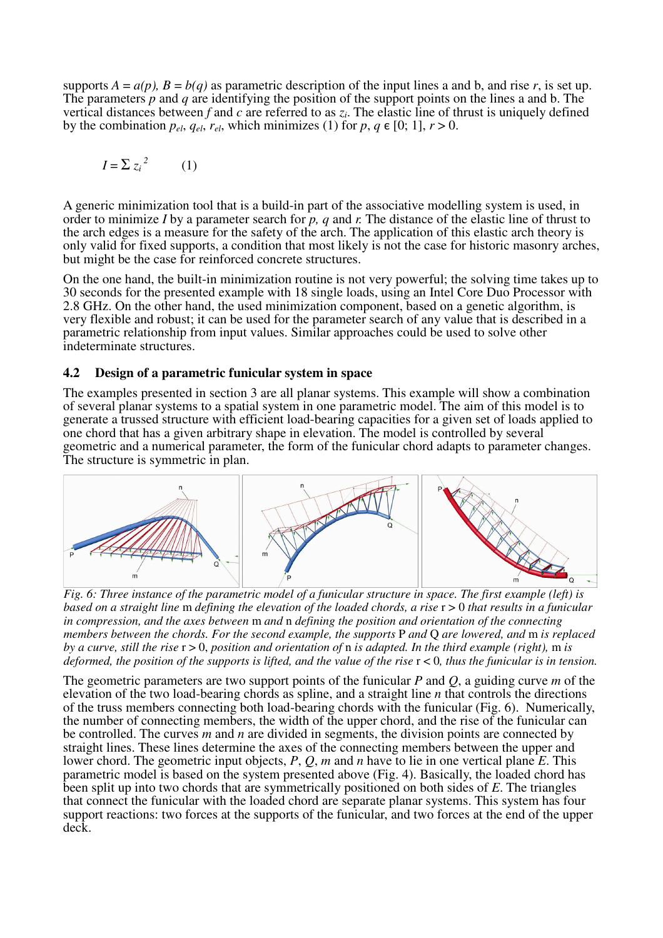supports  $A = a(p)$ ,  $B = b(q)$  as parametric description of the input lines a and b, and rise *r*, is set up. The parameters *p* and *q* are identifying the position of the support points on the lines a and b. The vertical distances between  $f$  and  $c$  are referred to as  $z_i$ . The elastic line of thrust is uniquely defined by the combination  $p_{el}$ ,  $q_{el}$ ,  $r_{el}$ , which minimizes (1) for  $p, q \in [0; 1]$ ,  $r > 0$ .

$$
I = \sum z_i^2 \qquad (1)
$$

A generic minimization tool that is a build-in part of the associative modelling system is used, in order to minimize *I* by a parameter search for *p, q* and *r.* The distance of the elastic line of thrust to the arch edges is a measure for the safety of the arch. The application of this elastic arch theory is only valid for fixed supports, a condition that most likely is not the case for historic masonry arches, but might be the case for reinforced concrete structures.

On the one hand, the built-in minimization routine is not very powerful; the solving time takes up to 30 seconds for the presented example with 18 single loads, using an Intel Core Duo Processor with 2.8 GHz. On the other hand, the used minimization component, based on a genetic algorithm, is very flexible and robust; it can be used for the parameter search of any value that is described in a parametric relationship from input values. Similar approaches could be used to solve other indeterminate structures.

#### **4.2 Design of a parametric funicular system in space**

The examples presented in section 3 are all planar systems. This example will show a combination of several planar systems to a spatial system in one parametric model. The aim of this model is to generate a trussed structure with efficient load-bearing capacities for a given set of loads applied to one chord that has a given arbitrary shape in elevation. The model is controlled by several geometric and a numerical parameter, the form of the funicular chord adapts to parameter changes. The structure is symmetric in plan.



*Fig. 6: Three instance of the parametric model of a funicular structure in space. The first example (left) is based on a straight line* m *defining the elevation of the loaded chords, a rise* r > 0 *that results in a funicular in compression, and the axes between* m *and* n *defining the position and orientation of the connecting members between the chords. For the second example, the supports* P *and* Q *are lowered, and* m *is replaced by a curve, still the rise* r > 0, *position and orientation of* n *is adapted. In the third example (right),* m *is deformed, the position of the supports is lifted, and the value of the rise* r < 0*, thus the funicular is in tension.* 

The geometric parameters are two support points of the funicular *P* and *Q*, a guiding curve *m* of the elevation of the two load-bearing chords as spline, and a straight line *n* that controls the directions of the truss members connecting both load-bearing chords with the funicular (Fig. 6). Numerically, the number of connecting members, the width of the upper chord, and the rise of the funicular can be controlled. The curves *m* and *n* are divided in segments, the division points are connected by straight lines. These lines determine the axes of the connecting members between the upper and lower chord. The geometric input objects, *P*, *Q*, *m* and *n* have to lie in one vertical plane *E*. This parametric model is based on the system presented above (Fig. 4). Basically, the loaded chord has been split up into two chords that are symmetrically positioned on both sides of *E*. The triangles that connect the funicular with the loaded chord are separate planar systems. This system has four support reactions: two forces at the supports of the funicular, and two forces at the end of the upper deck.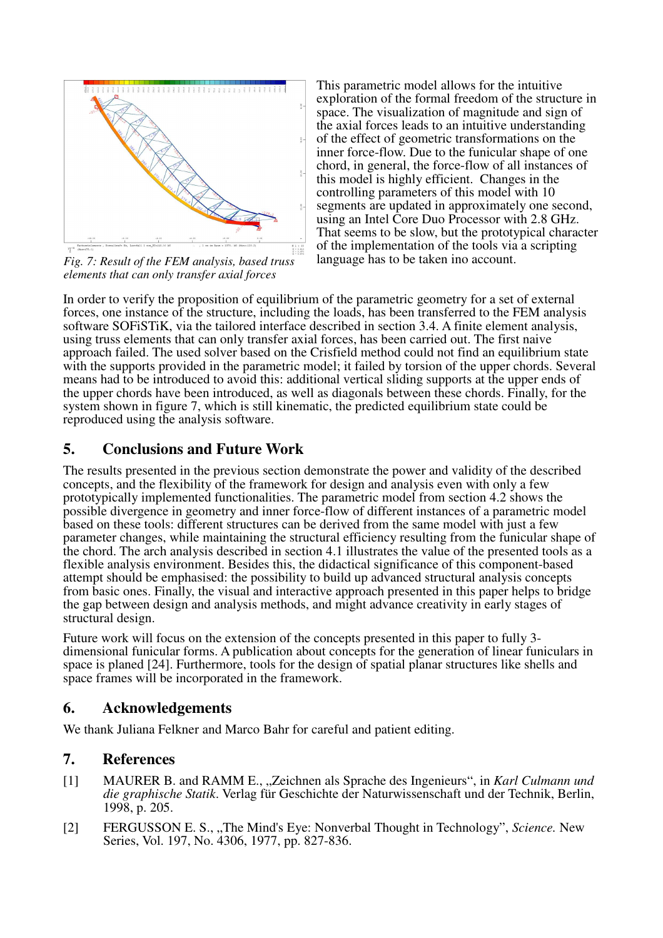

*Fig. 7: Result of the FEM analysis, based truss elements that can only transfer axial forces* 

This parametric model allows for the intuitive exploration of the formal freedom of the structure in space. The visualization of magnitude and sign of the axial forces leads to an intuitive understanding of the effect of geometric transformations on the inner force-flow. Due to the funicular shape of one chord, in general, the force-flow of all instances of this model is highly efficient. Changes in the controlling parameters of this model with 10 segments are updated in approximately one second, using an Intel Core Duo Processor with 2.8 GHz. That seems to be slow, but the prototypical character of the implementation of the tools via a scripting language has to be taken ino account.

In order to verify the proposition of equilibrium of the parametric geometry for a set of external forces, one instance of the structure, including the loads, has been transferred to the FEM analysis software SOFiSTiK, via the tailored interface described in section 3.4. A finite element analysis, using truss elements that can only transfer axial forces, has been carried out. The first naive approach failed. The used solver based on the Crisfield method could not find an equilibrium state with the supports provided in the parametric model; it failed by torsion of the upper chords. Several means had to be introduced to avoid this: additional vertical sliding supports at the upper ends of the upper chords have been introduced, as well as diagonals between these chords. Finally, for the system shown in figure 7, which is still kinematic, the predicted equilibrium state could be reproduced using the analysis software.

# **5. Conclusions and Future Work**

The results presented in the previous section demonstrate the power and validity of the described concepts, and the flexibility of the framework for design and analysis even with only a few prototypically implemented functionalities. The parametric model from section 4.2 shows the possible divergence in geometry and inner force-flow of different instances of a parametric model based on these tools: different structures can be derived from the same model with just a few parameter changes, while maintaining the structural efficiency resulting from the funicular shape of the chord. The arch analysis described in section 4.1 illustrates the value of the presented tools as a flexible analysis environment. Besides this, the didactical significance of this component-based attempt should be emphasised: the possibility to build up advanced structural analysis concepts from basic ones. Finally, the visual and interactive approach presented in this paper helps to bridge the gap between design and analysis methods, and might advance creativity in early stages of structural design.

Future work will focus on the extension of the concepts presented in this paper to fully 3 dimensional funicular forms. A publication about concepts for the generation of linear funiculars in space is planed [24]. Furthermore, tools for the design of spatial planar structures like shells and space frames will be incorporated in the framework.

# **6. Acknowledgements**

We thank Juliana Felkner and Marco Bahr for careful and patient editing.

# **7. References**

- [1] MAURER B. and RAMM E., "Zeichnen als Sprache des Ingenieurs", in *Karl Culmann und die graphische Statik*. Verlag für Geschichte der Naturwissenschaft und der Technik, Berlin, 1998, p. 205.
- [2] FERGUSSON E. S., "The Mind's Eye: Nonverbal Thought in Technology", *Science*. New Series, Vol. 197, No. 4306, 1977, pp. 827-836.